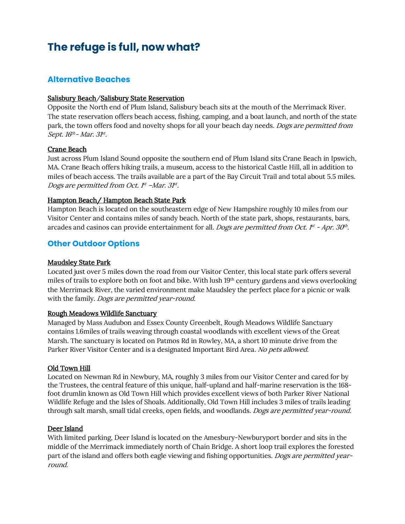# **The refuge is full, now what?**

# **Alternative Beaches**

## Salisbury Beach/Salisbury State Reservation

Opposite the North end of Plum Island, Salisbury beach sits at the mouth of the Merrimack River. The state reservation offers beach access, fishing, camping, and a boat launch, and north of the state park, the town offers food and novelty shops for all your beach day needs. *Dogs are permitted from* Sept.  $16^{th}$ - Mar.  $31^{st}$ .

## Crane Beach

Just across Plum Island Sound opposite the southern end of Plum Island sits Crane Beach in Ipswich, MA. Crane Beach offers hiking trails, a museum, access to the historical Castle Hill, all in addition to miles of beach access. The trails available are a part of the Bay Circuit Trail and total about 5.5 miles. Dogs are permitted from Oct.  $f<sup>t</sup>$  -Mar.  $3f<sup>t</sup>$ .

# Hampton Beach/ Hampton Beach State Park

Hampton Beach is located on the southeastern edge of New Hampshire roughly 10 miles from our Visitor Center and contains miles of sandy beach. North of the state park, shops, restaurants, bars, arcades and casinos can provide entertainment for all. Dogs are permitted from Oct.  $f^t$  - Apr. 30<sup>th</sup>.

# **Other Outdoor Options**

#### Maudsley State Park

Located just over 5 miles down the road from our Visitor Center, this local state park offers several miles of trails to explore both on foot and bike. With lush 19th century gardens and views overlooking the Merrimack River, the varied environment make Maudsley the perfect place for a picnic or walk with the family. Dogs are permitted year-round.

#### Rough Meadows Wildlife Sanctuary

Managed by Mass Audubon and Essex County Greenbelt, Rough Meadows Wildlife Sanctuary contains 1.6miles of trails weaving through coastal woodlands with excellent views of the Great Marsh. The sanctuary is located on Patmos Rd in Rowley, MA, a short 10 minute drive from the Parker River Visitor Center and is a designated Important Bird Area. No pets allowed.

#### Old Town Hill

Located on Newman Rd in Newbury, MA, roughly 3 miles from our Visitor Center and cared for by the Trustees, the central feature of this unique, half-upland and half-marine reservation is the 168 foot drumlin known as Old Town Hill which provides excellent views of both Parker River National Wildlife Refuge and the Isles of Shoals. Additionally, Old Town Hill includes 3 miles of trails leading through salt marsh, small tidal creeks, open fields, and woodlands. Dogs are permitted year-round.

#### Deer Island

With limited parking, Deer Island is located on the Amesbury-Newburyport border and sits in the middle of the Merrimack immediately north of Chain Bridge. A short loop trail explores the forested part of the island and offers both eagle viewing and fishing opportunities. Dogs are permitted yearround.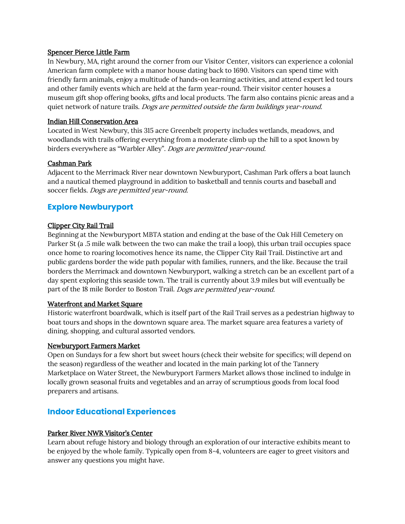#### Spencer Pierce Little Farm

In Newbury, MA, right around the corner from our Visitor Center, visitors can experience a colonial American farm complete with a manor house dating back to 1690. Visitors can spend time with friendly farm animals, enjoy a multitude of hands-on learning activities, and attend expert led tours and other family events which are held at the farm year-round. Their visitor center houses a museum gift shop offering books, gifts and local products. The farm also contains picnic areas and a quiet network of nature trails. *Dogs are permitted outside the farm buildings year-round.* 

# Indian Hill Conservation Area

Located in West Newbury, this 315 acre Greenbelt property includes wetlands, meadows, and woodlands with trails offering everything from a moderate climb up the hill to a spot known by birders everywhere as "Warbler Alley". *Dogs are permitted year-round.* 

## Cashman Park

Adjacent to the Merrimack River near downtown Newburyport, Cashman Park offers a boat launch and a nautical themed playground in addition to basketball and tennis courts and baseball and soccer fields. Dogs are permitted year-round.

# **Explore Newburyport**

## Clipper City Rail Trail

Beginning at the Newburyport MBTA station and ending at the base of the Oak Hill Cemetery on Parker St (a .5 mile walk between the two can make the trail a loop), this urban trail occupies space once home to roaring locomotives hence its name, the Clipper City Rail Trail. Distinctive art and public gardens border the wide path popular with families, runners, and the like. Because the trail borders the Merrimack and downtown Newburyport, walking a stretch can be an excellent part of a day spent exploring this seaside town. The trail is currently about 3.9 miles but will eventually be part of the 18 mile Border to Boston Trail. Dogs are permitted year-round.

#### Waterfront and Market Square

Historic waterfront boardwalk, which is itself part of the Rail Trail serves as a pedestrian highway to boat tours and shops in the downtown square area. The market square area features a variety of dining, shopping, and cultural assorted vendors.

# Newburyport Farmers Market

Open on Sundays for a few short but sweet hours (check their website for specifics; will depend on the season) regardless of the weather and located in the main parking lot of the Tannery Marketplace on Water Street, the Newburyport Farmers Market allows those inclined to indulge in locally grown seasonal fruits and vegetables and an array of scrumptious goods from local food preparers and artisans.

# **Indoor Educational Experiences**

# Parker River NWR Visitor's Center

Learn about refuge history and biology through an exploration of our interactive exhibits meant to be enjoyed by the whole family. Typically open from 8-4, volunteers are eager to greet visitors and answer any questions you might have.